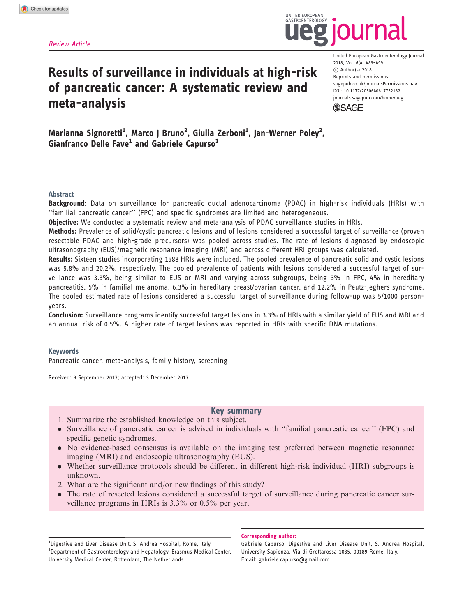# Results of surveillance in individuals at high-risk of pancreatic cancer: A systematic review and meta-analysis



United European Gastroenterology Journal 2018, Vol. 6(4) 489–499 ! Author(s) 2018 Reprints and permissions: [sagepub.co.uk/journalsPermissions.nav](https://uk.sagepub.com/en-gb/journals-permissions) DOI: [10.1177/2050640617752182](https://doi.org/10.1177/2050640617752182) <journals.sagepub.com/home/ueg>

**SSAGE** 

Marianna Signoretti<sup>1</sup>, Marco J Bruno<sup>2</sup>, Giulia Zerboni<sup>1</sup>, Jan-Werner Poley<sup>2</sup>, Gianfranco Delle Fave<sup>1</sup> and Gabriele Capurso<sup>1</sup>

### Abstract

Background: Data on surveillance for pancreatic ductal adenocarcinoma (PDAC) in high-risk individuals (HRIs) with ''familial pancreatic cancer'' (FPC) and specific syndromes are limited and heterogeneous.

Objective: We conducted a systematic review and meta-analysis of PDAC surveillance studies in HRIs.

Methods: Prevalence of solid/cystic pancreatic lesions and of lesions considered a successful target of surveillance (proven resectable PDAC and high-grade precursors) was pooled across studies. The rate of lesions diagnosed by endoscopic ultrasonography (EUS)/magnetic resonance imaging (MRI) and across different HRI groups was calculated.

Results: Sixteen studies incorporating 1588 HRIs were included. The pooled prevalence of pancreatic solid and cystic lesions was 5.8% and 20.2%, respectively. The pooled prevalence of patients with lesions considered a successful target of surveillance was 3.3%, being similar to EUS or MRI and varying across subgroups, being 3% in FPC, 4% in hereditary pancreatitis, 5% in familial melanoma, 6.3% in hereditary breast/ovarian cancer, and 12.2% in Peutz-Jeghers syndrome. The pooled estimated rate of lesions considered a successful target of surveillance during follow-up was 5/1000 personyears.

Conclusion: Surveillance programs identify successful target lesions in 3.3% of HRIs with a similar yield of EUS and MRI and an annual risk of 0.5%. A higher rate of target lesions was reported in HRIs with specific DNA mutations.

#### Keywords

Pancreatic cancer, meta-analysis, family history, screening

Received: 9 September 2017; accepted: 3 December 2017

### Key summary

- 1. Summarize the established knowledge on this subject.
- . Surveillance of pancreatic cancer is advised in individuals with ''familial pancreatic cancer'' (FPC) and specific genetic syndromes.
- . No evidence-based consensus is available on the imaging test preferred between magnetic resonance imaging (MRI) and endoscopic ultrasonography (EUS).
- . Whether surveillance protocols should be different in different high-risk individual (HRI) subgroups is unknown.
- 2. What are the significant and/or new findings of this study?
- . The rate of resected lesions considered a successful target of surveillance during pancreatic cancer surveillance programs in HRIs is 3.3% or 0.5% per year.

#### Corresponding author:

<sup>&</sup>lt;sup>1</sup>Digestive and Liver Disease Unit, S. Andrea Hospital, Rome, Italy <sup>2</sup>Department of Gastroenterology and Hepatology, Erasmus Medical Center, University Medical Center, Rotterdam, The Netherlands

Gabriele Capurso, Digestive and Liver Disease Unit, S. Andrea Hospital, University Sapienza, Via di Grottarossa 1035, 00189 Rome, Italy. Email: gabriele.capurso@gmail.com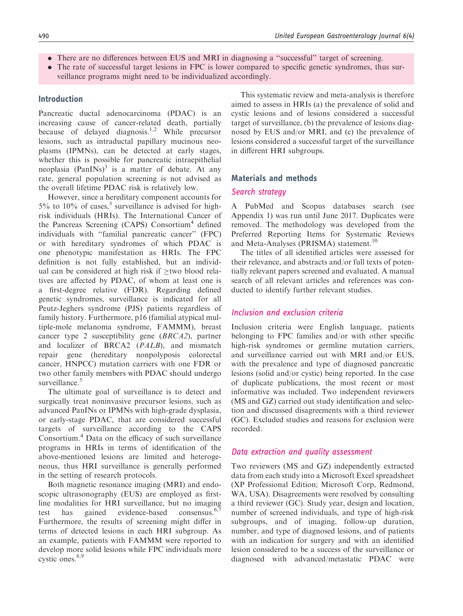- . There are no differences between EUS and MRI in diagnosing a ''successful'' target of screening.
- . The rate of successful target lesions in FPC is lower compared to specific genetic syndromes, thus surveillance programs might need to be individualized accordingly.

### Introduction

Pancreatic ductal adenocarcinoma (PDAC) is an increasing cause of cancer-related death, partially because of delayed diagnosis.<sup>1,2</sup> While precursor lesions, such as intraductal papillary mucinous neoplasms (IPMNs), can be detected at early stages, whether this is possible for pancreatic intraepithelial neoplasia  $(PanINs)^3$  is a matter of debate. At any rate, general population screening is not advised as the overall lifetime PDAC risk is relatively low.

However, since a hereditary component accounts for  $5\%$  to  $10\%$  of cases,<sup>3</sup> surveillance is advised for highrisk individuals (HRIs). The International Cancer of the Pancreas Screening (CAPS) Consortium<sup>4</sup> defined individuals with ''familial pancreatic cancer'' (FPC) or with hereditary syndromes of which PDAC is one phenotypic manifestation as HRIs. The FPC definition is not fully established, but an individual can be considered at high risk if  $\geq$ two blood relatives are affected by PDAC, of whom at least one is a first-degree relative (FDR). Regarding defined genetic syndromes, surveillance is indicated for all Peutz-Jeghers syndrome (PJS) patients regardless of family history. Furthermore, p16 (familial atypical multiple-mole melanoma syndrome, FAMMM), breast cancer type 2 susceptibility gene (BRCA2), partner and localizer of BRCA2 (PALB), and mismatch repair gene (hereditary nonpolyposis colorectal cancer, HNPCC) mutation carriers with one FDR or two other family members with PDAC should undergo surveillance.<sup>5</sup>

The ultimate goal of surveillance is to detect and surgically treat noninvasive precursor lesions, such as advanced PanINs or IPMNs with high-grade dysplasia, or early-stage PDAC, that are considered successful targets of surveillance according to the CAPS Consortium.<sup>4</sup> Data on the efficacy of such surveillance programs in HRIs in terms of identification of the above-mentioned lesions are limited and heterogeneous, thus HRI surveillance is generally performed in the setting of research protocols.

Both magnetic resonance imaging (MRI) and endoscopic ultrasonography (EUS) are employed as firstline modalities for HRI surveillance, but no imaging test has gained evidence-based consensus.<sup>6,7</sup> Furthermore, the results of screening might differ in terms of detected lesions in each HRI subgroup. As an example, patients with FAMMM were reported to develop more solid lesions while FPC individuals more cystic ones.<sup>8,9</sup>

This systematic review and meta-analysis is therefore aimed to assess in HRIs (a) the prevalence of solid and cystic lesions and of lesions considered a successful target of surveillance, (b) the prevalence of lesions diagnosed by EUS and/or MRI, and (c) the prevalence of lesions considered a successful target of the surveillance in different HRI subgroups.

### Materials and methods

#### Search strategy

A PubMed and Scopus databases search (see Appendix 1) was run until June 2017. Duplicates were removed. The methodology was developed from the Preferred Reporting Items for Systematic Reviews and Meta-Analyses (PRISMA) statement.<sup>10</sup>

The titles of all identified articles were assessed for their relevance, and abstracts and/or full texts of potentially relevant papers screened and evaluated. A manual search of all relevant articles and references was conducted to identify further relevant studies.

# Inclusion and exclusion criteria

Inclusion criteria were English language, patients belonging to FPC families and/or with other specific high-risk syndromes or germline mutation carriers, and surveillance carried out with MRI and/or EUS, with the prevalence and type of diagnosed pancreatic lesions (solid and/or cystic) being reported. In the case of duplicate publications, the most recent or most informative was included. Two independent reviewers (MS and GZ) carried out study identification and selection and discussed disagreements with a third reviewer (GC). Excluded studies and reasons for exclusion were recorded.

## Data extraction and quality assessment

Two reviewers (MS and GZ) independently extracted data from each study into a Microsoft Excel spreadsheet (XP Professional Edition; Microsoft Corp, Redmond, WA, USA). Disagreements were resolved by consulting a third reviewer (GC). Study year, design and location, number of screened individuals, and type of high-risk subgroups, and of imaging, follow-up duration, number, and type of diagnosed lesions, and of patients with an indication for surgery and with an identified lesion considered to be a success of the surveillance or diagnosed with advanced/metastatic PDAC were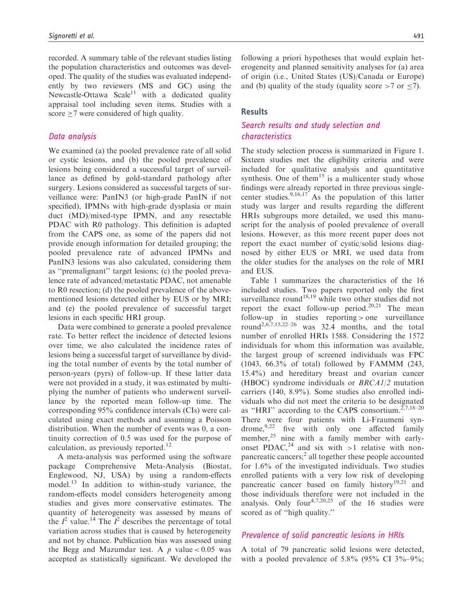recorded. A summary table of the relevant studies listing the population characteristics and outcomes was developed. The quality of the studies was evaluated independently by two reviewers (MS and GC) using the Newcastle-Ottawa Scale<sup>11</sup> with a dedicated quality appraisal tool including seven items. Studies with a score  $\geq$ 7 were considered of high quality.

## Data analysis

We examined (a) the pooled prevalence rate of all solid or cystic lesions, and (b) the pooled prevalence of lesions being considered a successful target of surveillance as defined by gold-standard pathology after surgery. Lesions considered as successful targets of surveillance were: PanIN3 (or high-grade PanIN if not specified), IPMNs with high-grade dysplasia or main duct (MD)/mixed-type IPMN, and any resectable PDAC with R0 pathology. This definition is adapted from the CAPS one, as some of the papers did not provide enough information for detailed grouping; the pooled prevalence rate of advanced IPMNs and PanIN3 lesions was also calculated, considering them as ''premalignant'' target lesions; (c) the pooled prevalence rate of advanced/metastatic PDAC, not amenable to R0 resection; (d) the pooled prevalence of the abovementioned lesions detected either by EUS or by MRI; and (e) the pooled prevalence of successful target lesions in each specific HRI group.

Data were combined to generate a pooled prevalence rate. To better reflect the incidence of detected lesions over time, we also calculated the incidence rates of lesions being a successful target of surveillance by dividing the total number of events by the total number of person-years (pyrs) of follow-up. If these latter data were not provided in a study, it was estimated by multiplying the number of patients who underwent surveillance by the reported mean follow-up time. The corresponding 95% confidence intervals (CIs) were calculated using exact methods and assuming a Poisson distribution. When the number of events was 0, a continuity correction of 0.5 was used for the purpose of calculation, as previously reported. $12$ 

A meta-analysis was performed using the software package Comprehensive Meta-Analysis (Biostat, Englewood, NJ, USA) by using a random-effects model.<sup>13</sup> In addition to within-study variance, the random-effects model considers heterogeneity among studies and gives more conservative estimates. The quantity of heterogeneity was assessed by means of the  $I^2$  value.<sup>14</sup> The  $I^2$  describes the percentage of total variation across studies that is caused by heterogeneity and not by chance. Publication bias was assessed using the Begg and Mazumdar test. A p value  $< 0.05$  was accepted as statistically significant. We developed the following a priori hypotheses that would explain heterogeneity and planned sensitivity analyses for (a) area of origin (i.e., United States (US)/Canada or Europe)

and (b) quality of the study (quality score  $>7$  or  $<$ 7).

## Results

# Search results and study selection and characteristics

The study selection process is summarized in Figure 1. Sixteen studies met the eligibility criteria and were included for qualitative analysis and quantitative synthesis. One of them<sup>15</sup> is a multicenter study whose findings were already reported in three previous singlecenter studies. $9,16,17$  As the population of this latter study was larger and results regarding the different HRIs subgroups more detailed, we used this manuscript for the analysis of pooled prevalence of overall lesions. However, as this more recent paper does not report the exact number of cystic/solid lesions diagnosed by either EUS or MRI, we used data from the older studies for the analyses on the role of MRI and EUS.

Table 1 summarizes the characteristics of the 16 included studies. Two papers reported only the first surveillance round<sup>18,19</sup> while two other studies did not report the exact follow-up period.<sup>20,21</sup> The mean follow-up in studies reporting > one surveillance round<sup>2,6,7,15,22–26</sup> was 32.4 months, and the total number of enrolled HRIs 1588. Considering the 1572 individuals for whom this information was available, the largest group of screened individuals was FPC (1043, 66.3% of total) followed by FAMMM (243, 15.4%) and hereditary breast and ovarian cancer (HBOC) syndrome individuals or BRCA1/2 mutation carriers (140, 8.9%). Some studies also enrolled individuals who did not meet the criteria to be designated as "HRI" according to the CAPS consortium.<sup>2,7,18-20</sup> There were four patients with Li-Fraumeni syndrome,<sup>9,22</sup> five with only one affected family member, $25$  nine with a family member with earlyonset PDAC,<sup>24</sup> and six with  $>1$  relative with nonpancreatic cancers;<sup>2</sup> all together these people accounted for 1.6% of the investigated individuals. Two studies enrolled patients with a very low risk of developing pancreatic cancer based on family history<sup>19,21</sup> and those individuals therefore were not included in the analysis. Only  $four^{4,7,20,25}$  of the 16 studies were scored as of ''high quality.''

## Prevalence of solid pancreatic lesions in HRIs

A total of 79 pancreatic solid lesions were detected, with a pooled prevalence of 5.8% (95% CI  $3\%$ –9%;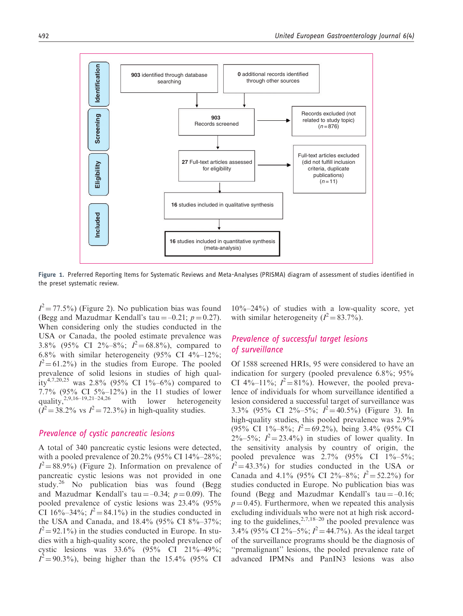

Figure 1. Preferred Reporting Items for Systematic Reviews and Meta-Analyses (PRISMA) diagram of assessment of studies identified in the preset systematic review.

 $I^2$  = 77.5%) (Figure 2). No publication bias was found (Begg and Mazudmar Kendall's tau  $= -0.21$ ;  $p = 0.27$ ). When considering only the studies conducted in the USA or Canada, the pooled estimate prevalence was 3.8% (95% CI 2%–8%;  $I^2 = 68.8\%$ ), compared to 6.8% with similar heterogeneity  $(95\% \text{ CI } 4\% - 12\%);$  $I^2 = 61.2\%$ ) in the studies from Europe. The pooled prevalence of solid lesions in studies of high quality<sup>4,7,20,25</sup> was 2.8% (95% CI 1%–6%) compared to 7.7% (95% CI  $5\%$  –12%) in the 11 studies of lower quality,  $^{2,9,16-19,21-24,26}$  with lower heterogeneity  $(I^2 = 38.2\%$  vs  $I^2 = 72.3\%$ ) in high-quality studies.

# Prevalence of cystic pancreatic lesions

A total of 340 pancreatic cystic lesions were detected, with a pooled prevalence of  $20.2\%$  (95% CI 14%–28%;  $I^2 = 88.9\%$ ) (Figure 2). Information on prevalence of pancreatic cystic lesions was not provided in one study.<sup>26</sup> No publication bias was found (Begg and Mazudmar Kendall's tau  $= -0.34$ ;  $p = 0.09$ ). The pooled prevalence of cystic lesions was 23.4% (95% CI 16%–34%;  $I^2 = 84.1\%$ ) in the studies conducted in the USA and Canada, and 18.4% (95% CI 8%–37%;  $I^2 = 92.1\%$ ) in the studies conducted in Europe. In studies with a high-quality score, the pooled prevalence of cystic lesions was 33.6% (95% CI 21%–49%;  $I^2 = 90.3\%$ ), being higher than the 15.4% (95% CI

 $10\% - 24\%$  of studies with a low-quality score, yet with similar heterogeneity  $(I^2 = 83.7\%).$ 

# Prevalence of successful target lesions of surveillance

Of 1588 screened HRIs, 95 were considered to have an indication for surgery (pooled prevalence  $6.8\%$ ;  $95\%$ CI 4%-11%;  $I^2 = 81\%$ ). However, the pooled prevalence of individuals for whom surveillance identified a lesion considered a successful target of surveillance was 3.3% (95% CI 2%–5%;  $I^2 = 40.5\%$ ) (Figure 3). In high-quality studies, this pooled prevalence was 2.9%  $(95\% \text{ CI } 1\% - 8\%; I^2 = 69.2\%)$ , being 3.4%  $(95\% \text{ CI } 1\%)$  $2\% - 5\%$ ;  $I^2 = 23.4\%$ ) in studies of lower quality. In the sensitivity analysis by country of origin, the pooled prevalence was  $2.7\%$  (95% CI  $1\% - 5\%$ ;  $I^2 = 43.3\%$ ) for studies conducted in the USA or Canada and 4.1% (95% CI 2%–8%;  $I^2 = 52.2$ %) for studies conducted in Europe. No publication bias was found (Begg and Mazudmar Kendall's tau  $=$  -0.16;  $p = 0.45$ ). Furthermore, when we repeated this analysis excluding individuals who were not at high risk according to the guidelines,  $2^{7,18-20}$  the pooled prevalence was 3.4% (95% CI 2%–5%;  $I^2 = 44.7\%$ ). As the ideal target of the surveillance programs should be the diagnosis of "premalignant" lesions, the pooled prevalence rate of advanced IPMNs and PanIN3 lesions was also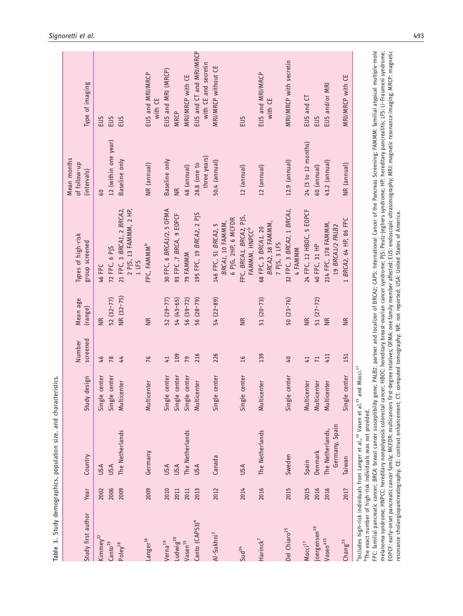|                                              |      | Table 1. Study demographics, population size, and characteristics. |                                                       |                    |                     |                                                                 |                              |                                                 |
|----------------------------------------------|------|--------------------------------------------------------------------|-------------------------------------------------------|--------------------|---------------------|-----------------------------------------------------------------|------------------------------|-------------------------------------------------|
|                                              |      |                                                                    |                                                       |                    |                     |                                                                 | Mean months                  |                                                 |
| Study first author                           | Year | Country                                                            | Study design                                          | screened<br>Number | Mean age<br>(range) | Types of high-risk<br>group screened                            | of follow-up<br>(intervals)  | Type of imaging                                 |
| Kimmey <sup>22</sup>                         | 2002 | USA                                                                | Single center                                         | 9t                 | NR.                 | 46 FPC                                                          | 60                           | EUS                                             |
| Canto <sup>23</sup>                          | 2006 | USA                                                                | Single center                                         | 78                 | $52(32-77)$         | 72 FPC, 6 PJS                                                   | 12 (within one year)         | EUS                                             |
| Poley <sup>18</sup>                          | 2009 | The Netherlands                                                    | Multicenter                                           | 44                 | NR (32-75)          | 21 FPC, 3 BRCA1, 2 BRCA2,<br>2 PJS, 13 FAMMM, 2 HP,<br>1 LFS    | Baseline only                | EUS                                             |
| Langer <sup>16</sup>                         | 2009 | Germany                                                            | Multicenter                                           | 76                 | $\frac{R}{N}$       | FPC, FAMMM <sup>b</sup>                                         | NR (annual)                  | EUS and MRI/MRCP<br>with CE                     |
| Verna <sup>19</sup>                          | 2010 | USA                                                                | Single center                                         | $\overline{1}$     | $52(29-77)$         | 30 FPC, 6 BRCA1/2, 5 OFMA                                       | Baseline only                | EUS and MRI (MRCP)                              |
| Ludwig <sup>20</sup>                         | 2011 | USA                                                                | Single center                                         | 109                | 54 (43-65)          | 93 FPC, 7 BRCA, 9 EOPCF                                         | NR.                          | <b>MRCP</b>                                     |
| Vasen <sup>15</sup>                          | 2011 | The Netherlands                                                    | Single center                                         | 79                 | $56(39-72)$         | 79 FAMMM                                                        | 48 (annual)                  | MRI/MRCP with CE                                |
| Canto (CAPS3) <sup>4</sup>                   | 2013 | USA                                                                | Multicenter                                           | 216                | $56(28-79)$         | 195 FPC, 19 BRCA2, 2 PJS                                        | three years)<br>28.8 (one to | EUS and CT and MRI/MRCP<br>with CE and secretin |
| Al-Sukhni <sup>2</sup>                       | 2012 | Canada                                                             | Single center                                         | 226                | $54(22-89)$         | 6 PJG, 2HP, 6 MCFDR<br>BRCA1, 10 FAMMM,<br>146 FPC, 51 BRCA2, 5 | 50.4 (annual)                | MRI/MRCP without CE                             |
| $Sud^{24}$                                   | 2014 | USA                                                                | Single center                                         | $\mathfrak{a}$     | $\frac{R}{N}$       | FPC, BRCA1, BRCA2, PJS,<br>FAMMM, HNPCC <sup>b</sup>            | 12 (annual)                  | EUS                                             |
| Harinck <sup>7</sup>                         | 2016 | The Netherlands                                                    | Multicenter                                           | 139                | $51(20-73)$         | BRCA2, 38 FAMMM,<br>68 FPC, 3 BRCA1, 20<br>7 PJS, 3 LFS         | 12 (annual)                  | EUS and MRI/MRCP<br>with CE                     |
| Del Chiaro <sup>25</sup>                     | 2015 | Sweden                                                             | Single center                                         | $\mathsf{G}$       | $50(23-76)$         | 32 FPC, 3 BRCA2, 1 BRCA1,<br>4 FAMMM                            | $12.9$ (annual)              | MRI/MRCP with secretin                          |
| Mocci <sup>17</sup>                          | 2015 | Spain                                                              | Multicenter                                           | $\overline{1}$     | $\frac{R}{N}$       | 24 FPC, 12 HBOC, 5 EOPCF                                        | 24 (3 to 12 months)          | EUS and CT                                      |
| Joergensen <sup>26</sup>                     | 2016 | Denmark                                                            | Multicenter                                           | $\overline{71}$    | $51(27-72)$         | 40 FPC, 31 HP                                                   | 60 (annual)                  | EUS                                             |
| Vasena15                                     | 2016 | Germany, Spain<br>The Netherlands,                                 | Multicenter                                           | 411                | NR.                 | 214 FPC, 178 FAMMM,<br>19 BRCA1/2 PALB2                         | 43.2 (annual)                | EUS and/or MRI                                  |
| Chang $25$                                   | 2017 | Taiwan                                                             | Single center                                         | 151                | NR.                 | 1 BRCA2, 64 HP, 86 FPC                                          | NR (annual)                  | MRI/MRCP with CE                                |
| سما مصمعة مامينك أيلك والمناسط مناصر الممراة |      | $-101122$                                                          | $\sim$ $\sim$ $\sim$ $\sim$ $\sim$ $17$<br>$-4$ $-15$ |                    |                     |                                                                 |                              |                                                 |

<sup>a</sup>Includes high-risk individuals from Langer et al.,<sup>16</sup> Vasen et al.<sup>15</sup> and Mocci.<sup>17</sup> and Mocci.

<sup>a</sup>lncludes high-risk individuals from Langer et al.,<sup>18</sup> Vasen et al.<sup>13</sup><br><sup>P</sup>The exact number of high-risk individuals was not provided. bThe exact number of high-risk individuals was not provided.

FPC: familial pancreatic cancer; BRCA: breast cancer susceptibility gene; PALB2: partner and localizer of BRCA2; CAPS: International Cancer of the Pancreas Screening; FAMMM: familial atypical multiple-mole<br>melanoma syndrom EOPCF: early-onset pancreatic cancer family; MCFDR: multicancers first-degree relatives; OFMA: one family member affected; EUS: endoscopic ultrasonography; MRI: magnetic resonance imaging; MRCP: magnetic<br>resonance cholangi FPC: familial pancreatic cancer; BRCA: breast cancer susceptibility gene; PALB2: partner and localizer of BRCA2; CAPS: International Cancer of the Pancreas Screening; FAMMM: familial atypical multiple-mole melanoma syndrome; HNPCC: hereditary nonpolyposis colorectal cancer; HBOC: hereditary breast-ovarian cancer syndrome; PJS: Peutz-Jeghers syndrome; HP: hereditary pancreatitis; LFS: Li-Fraumeni syndrome; EOPCF: early-onset pancreatic cancer family; MCFDR: multicancers first-degree relatives; OFMA: one family member affected; EUS: endoscopic ultrasonography; MRI: magnetic resonance imaging; MRCP: magnetic resonance cholangiopancreatography; CE: contrast enhancement; CT: computed tomography; NR: not reported; USA: United States of America.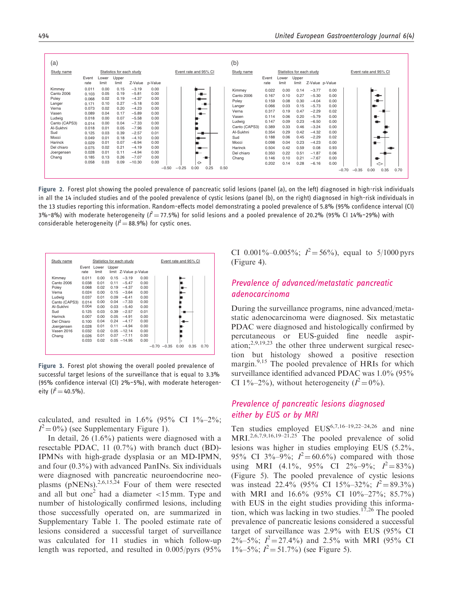| (a)                                                                                                                                                               |                                                                                                                                                                                                                                                                              |                                                                                                                                                                                                                                                                                                                                                                                                                                               |                                                                                          | (b)                                                                                                                                                        |                                                                                                                                                                                                                                                             |                                                                                                                                                                                                                                                                                        |                                                                                                                                                                                                         |
|-------------------------------------------------------------------------------------------------------------------------------------------------------------------|------------------------------------------------------------------------------------------------------------------------------------------------------------------------------------------------------------------------------------------------------------------------------|-----------------------------------------------------------------------------------------------------------------------------------------------------------------------------------------------------------------------------------------------------------------------------------------------------------------------------------------------------------------------------------------------------------------------------------------------|------------------------------------------------------------------------------------------|------------------------------------------------------------------------------------------------------------------------------------------------------------|-------------------------------------------------------------------------------------------------------------------------------------------------------------------------------------------------------------------------------------------------------------|----------------------------------------------------------------------------------------------------------------------------------------------------------------------------------------------------------------------------------------------------------------------------------------|---------------------------------------------------------------------------------------------------------------------------------------------------------------------------------------------------------|
| Study name                                                                                                                                                        |                                                                                                                                                                                                                                                                              | Statistics for each study                                                                                                                                                                                                                                                                                                                                                                                                                     | Event rate and 95% CI                                                                    | Study name                                                                                                                                                 |                                                                                                                                                                                                                                                             | Statistics for each study                                                                                                                                                                                                                                                              | Event rate and 95% CI                                                                                                                                                                                   |
|                                                                                                                                                                   | Event<br>Lower<br>limit<br>rate                                                                                                                                                                                                                                              | Upper<br>Z-Value<br>p-Value<br>limit                                                                                                                                                                                                                                                                                                                                                                                                          |                                                                                          |                                                                                                                                                            | Event<br>Lower<br>limit<br>rate                                                                                                                                                                                                                             | Upper<br>Z-Value p-Value<br>limit                                                                                                                                                                                                                                                      |                                                                                                                                                                                                         |
| Kimmey<br>Canto 2006<br>Poley<br>Langer<br>Verna<br>Vasen<br>Ludwig<br>Canto (CAPS3)<br>Al-Sukhni<br>Sud<br>Mocci<br>Harinck<br>Del chiaro<br>Joergensen<br>Chang | 0.011<br>0.00<br>0.05<br>0.103<br>0.02<br>0.068<br>0.10<br>0.171<br>0.073<br>0.02<br>0.089<br>0.04<br>0.00<br>0.018<br>0.00<br>0.014<br>0.018<br>0.01<br>0.125<br>0.03<br>0.049<br>0.01<br>0.01<br>0.029<br>0.02<br>0.075<br>0.028<br>0.01<br>0.185<br>0.13<br>0.058<br>0.03 | 0.15<br>$-3.19$<br>0.00<br>0.19<br>0.00<br>$-5.81$<br>0.19<br>$-4.37$<br>0.00<br>0.27<br>$-5.18$<br>0.00<br>0.20<br>$-4.23$<br>0.00<br>0.17<br>$-5.89$<br>0.00<br>0.00<br>0.07<br>$-5.58$<br>$-7.33$<br>0.00<br>0.04<br>$-7.96$<br>0.00<br>0.05<br>0.39<br>$-2.57$<br>0.01<br>0.00<br>0.18<br>$-4.10$<br>$-6.94$<br>0.00<br>0.07<br>0.21<br>$-4.19$<br>0.00<br>$-4.94$<br>0.00<br>0.11<br>0.26<br>$-7.07$<br>0.00<br>0.09<br>$-10.30$<br>0.00 | <b>.</b><br>-<br>-<br>-<br>- 11<br>$\circ$<br>$-0.25$<br>0.25<br>0.50<br>0.00<br>$-0.50$ | Kimmey<br><b>Canto 2006</b><br>Poley<br>Langer<br>Verna<br>Vasen<br>Ludwia<br>Canto (CAPS3)<br>Al-Sukhni<br>Sud<br>Mocci<br>Harinck<br>Del chiaro<br>Chang | 0.022<br>0.00<br>0.167<br>0.10<br>0.159<br>0.08<br>0.066<br>0.03<br>0.317<br>0.19<br>0.114<br>0.06<br>0.147<br>0.09<br>0.389<br>0.33<br>0.354<br>0.29<br>0.188<br>0.06<br>0.098<br>0.04<br>0.504<br>0.42<br>0.350<br>0.22<br>0.146<br>0.10<br>0.202<br>0.14 | $-3.77$<br>0.14<br>0.27<br>$-5.30$<br>0.30<br>$-4.04$<br>0.15<br>$-5.73$<br>0.47<br>$-2.29$<br>0.20<br>$-5.79$<br>0.23<br>$-6.50$<br>0.46<br>$-3.24$<br>0.42<br>$-4.32$<br>0.45<br>$-2.29$<br>0.23<br>$-4.23$<br>0.59<br>0.08<br>0.51<br>$-1.87$<br>0.21<br>$-7.67$<br>0.28<br>$-6.16$ | 0.00<br>-<br>0.00<br>0.00<br>-<br>0.00<br>۰.<br>0.02<br>0.00<br>₩.<br>0.00<br>۰<br>0.00<br>0.00<br>0.02<br>0.00<br>-<br>0.93<br>0.06<br>0.00<br>0.00<br>◇<br>$-0.70$<br>$-0.35$<br>0.35<br>0.70<br>0.00 |

Figure 2. Forest plot showing the pooled prevalence of pancreatic solid lesions (panel (a), on the left) diagnosed in high-risk individuals in all the 14 included studies and of the pooled prevalence of cystic lesions (panel (b), on the right) diagnosed in high-risk individuals in the 13 studies reporting this information. Random-effects model demonstrating a pooled prevalence of 5.8% (95% confidence interval (CI) 3%-8%) with moderate heterogeneity ( $l^2$  = 77.5%) for solid lesions and a pooled prevalence of 20.2% (95% CI 14%-29%) with considerable heterogeneity ( $l^2$   $=$  88.9%) for cystic ones.

| Study name    |       |       |       | Statistics for each study |      | Event rate and 95% CI                 |
|---------------|-------|-------|-------|---------------------------|------|---------------------------------------|
|               | Event | Lower | Upper |                           |      |                                       |
|               | rate  | limit |       | limit Z-Value p-Value     |      |                                       |
| Kimmev        | 0.011 | 0.00  | 0.15  | $-3.19$                   | 0.00 |                                       |
| Canto 2006    | 0.038 | 0.01  | 0.11  | $-5.47$                   | 0.00 |                                       |
| Poley         | 0.068 | 0.02  | 0.19  | $-4.37$                   | 0.00 |                                       |
| Verna         | 0.024 | 0.00  | 0.15  | $-3.64$                   | 0.00 |                                       |
| Ludwia        | 0.037 | 0.01  | 0.09  | $-6.41$                   | 0.00 |                                       |
| Canto (CAPS3) | 0.014 | 0.00  | 0.04  | $-7.33$                   | 0.00 |                                       |
| Al-Sukhni     | 0.004 | 0.00  | 0.03  | $-5.40$                   | 0.00 |                                       |
| Sud           | 0.125 | 0.03  | 0.39  | $-2.57$                   | 0.01 |                                       |
| Harinck       | 0.007 | 0.00  | 0.05  | $-4.91$                   | 0.00 |                                       |
| Del Chiaro    | 0.100 | 0.04  | 0.24  | $-4.17$                   | 0.00 |                                       |
| Joergensen    | 0.028 | 0.01  | 0.11  | $-4.94$                   | 0.00 |                                       |
| Vasen 2016    | 0.032 | 0.02  |       | $0.05 - 12.14$            | 0.00 |                                       |
| Chang         | 0.026 | 0.01  | 0.07  | $-7.11$                   | 0.00 |                                       |
|               | 0.033 | 0.02  |       | $0.05 - 14.95$            | 0.00 |                                       |
|               |       |       |       |                           |      | $-0.70 -0.35$<br>0.00<br>0.35<br>0.70 |
|               |       |       |       |                           |      |                                       |

Figure 3. Forest plot showing the overall pooled prevalence of successful target lesions of the surveillance that is equal to 3.3% (95% confidence interval (CI) 2%–5%), with moderate heterogeneity  $(l^2 = 40.5\%)$ .

calculated, and resulted in  $1.6\%$  (95% CI  $1\%$ -2%;  $I^2 = 0\%$ ) (see Supplementary Figure 1).

In detail, 26 (1.6%) patients were diagnosed with a resectable PDAC, 11 (0.7%) with branch duct (BD)- IPMNs with high-grade dysplasia or an MD-IPMN, and four (0.3%) with advanced PanINs. Six individuals were diagnosed with pancreatic neuroendocrine neoplasms (pNENs).<sup>2,6,15,24</sup> Four of them were resected and all but one<sup>2</sup> had a diameter  $\lt 15$  mm. Type and number of histologically confirmed lesions, including those successfully operated on, are summarized in Supplementary Table 1. The pooled estimate rate of lesions considered a successful target of surveillance was calculated for 11 studies in which follow-up length was reported, and resulted in 0.005/pyrs (95%

CI 0.001%-0.005%;  $I^2 = 56\%$ , equal to 5/1000 pyrs (Figure 4).

# Prevalence of advanced/metastatic pancreatic adenocarcinoma

During the surveillance programs, nine advanced/metastatic adenocarcinoma were diagnosed. Six metastatic PDAC were diagnosed and histologically confirmed by percutaneous or EUS-guided fine needle aspiration; $2,9,19,23$  the other three underwent surgical resection but histology showed a positive resection margin.<sup>9,15</sup> The pooled prevalence of HRIs for which surveillance identified advanced PDAC was 1.0% (95% CI 1%-2%), without heterogeneity ( $I^2 = 0\%$ ).

# Prevalence of pancreatic lesions diagnosed either by EUS or by MRI

Ten studies employed  $EUS^{6,7,16-19,22-24,26}$  and nine MRI.<sup>2,6,7,9,16,19–21,25</sup> The pooled prevalence of solid lesions was higher in studies employing EUS (5.2%, 95% CI 3%–9%;  $I^2 = 60.6\%$  compared with those using MRI (4.1%, 95% CI 2%–9%;  $I^2 = 83\%$ ) (Figure 5). The pooled prevalence of cystic lesions was instead 22.4% (95% CI 15%–32%;  $I^2 = 89.3\%$ ) with MRI and 16.6% (95% CI 10%–27%; 85.7%) with EUS in the eight studies providing this information, which was lacking in two studies.<sup>17,26</sup> The pooled prevalence of pancreatic lesions considered a successful target of surveillance was 2.9% with EUS (95% CI  $2\% - 5\%$ ;  $I^2 = 27.4\%$ ) and 2.5% with MRI (95% CI  $1\%$ –5%;  $I^2$  = 51.7%) (see Figure 5).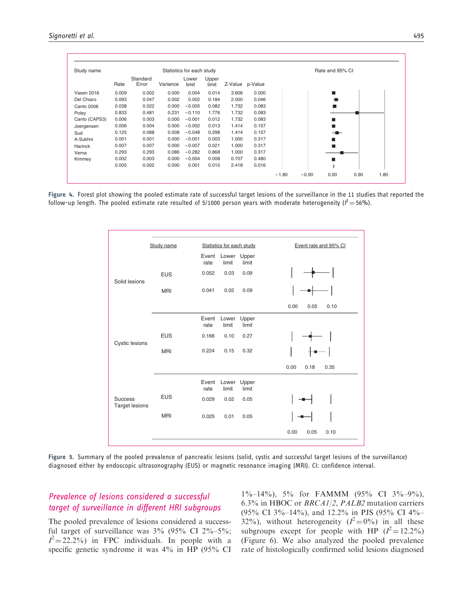| Study name        |       |                   |          | Statistics for each study |                |                 |       |         |         | Rate and 95% CI |      |      |
|-------------------|-------|-------------------|----------|---------------------------|----------------|-----------------|-------|---------|---------|-----------------|------|------|
|                   | Rate  | Standard<br>Error | Variance | Lower<br>limit            | Upper<br>limit | Z-Value p-Value |       |         |         |                 |      |      |
| Vasen 2016        | 0.009 | 0.002             | 0.000    | 0.004                     | 0.014          | 3.606           | 0.000 |         |         |                 |      |      |
| Del Chiaro        | 0.093 | 0.047             | 0.002    | 0.002                     | 0.184          | 2.000           | 0.046 |         |         |                 |      |      |
| <b>Canto 2006</b> | 0.038 | 0.022             | 0.000    | $-0.005$                  | 0.082          | 1.732           | 0.083 |         |         |                 |      |      |
| Polev             | 0.833 | 0.481             | 0.231    | $-0.110$                  | 1.776          | 1.732           | 0.083 |         |         |                 |      |      |
| Canto (CAPS3)     | 0.006 | 0.003             | 0.000    | $-0.001$                  | 0.012          | 1.732           | 0.083 |         |         |                 |      |      |
| Joergensen        | 0.006 | 0.004             | 0.000    | $-0.002$                  | 0.013          | 1.414           | 0.157 |         |         |                 |      |      |
| Sud               | 0.125 | 0.088             | 0.008    | $-0.048$                  | 0.298          | 1.414           | 0.157 |         |         |                 |      |      |
| A-Sukhni          | 0.001 | 0.001             | 0.000    | $-0.001$                  | 0.003          | 1.000           | 0.317 |         |         |                 |      |      |
| <b>Harinck</b>    | 0.007 | 0.007             | 0.000    | $-0.007$                  | 0.021          | 1.000           | 0.317 |         |         |                 |      |      |
| Verna             | 0.293 | 0.293             | 0.086    | $-0.282$                  | 0.868          | 1.000           | 0.317 |         |         |                 |      |      |
| Kimmey            | 0.002 | 0.003             | 0.000    | $-0.004$                  | 0.008          | 0.707           | 0.480 |         |         |                 |      |      |
|                   | 0.005 | 0.002             | 0.000    | 0.001                     | 0.010          | 2.418           | 0.016 |         |         |                 |      |      |
|                   |       |                   |          |                           |                |                 |       | $-1.80$ | $-0.90$ | 0.00            | 0.90 | 1.80 |

Figure 4. Forest plot showing the pooled estimate rate of successful target lesions of the surveillance in the 11 studies that reported the follow-up length. The pooled estimate rate resulted of 5/1000 person years with moderate heterogeneity ( $l^2$   $=$  56%).

|                                         | Study name |               |                | Statistics for each study | Event rate and 95% CI |  |  |
|-----------------------------------------|------------|---------------|----------------|---------------------------|-----------------------|--|--|
|                                         |            | Event<br>rate | limit          | Lower Upper<br>limit      |                       |  |  |
| Solid lesions                           | <b>EUS</b> | 0.052         | 0.03           | 0.09                      |                       |  |  |
|                                         | <b>MRI</b> | 0.041         | 0.02           | 0.09                      |                       |  |  |
|                                         |            |               |                |                           | 0.00<br>0.05<br>0.10  |  |  |
|                                         |            | Event<br>rate | Lower<br>limit | Upper<br>limit            |                       |  |  |
| Cystic lesions                          | <b>EUS</b> | 0.166         | 0.10           | 0.27                      |                       |  |  |
|                                         | <b>MRI</b> | 0.224         | 0.15           | 0.32                      |                       |  |  |
|                                         |            |               |                |                           | 0.00<br>0.18<br>0.35  |  |  |
|                                         |            | Event<br>rate | limit          | Lower Upper<br>limit      |                       |  |  |
| <b>Success</b><br><b>Target lesions</b> | <b>EUS</b> | 0.029         | 0.02           | 0.05                      |                       |  |  |
|                                         | <b>MRI</b> | 0.025         | 0.01           | 0.05                      |                       |  |  |
|                                         |            |               |                |                           | 0.00<br>0.05<br>0.10  |  |  |

Figure 5. Summary of the pooled prevalence of pancreatic lesions (solid, cystic and successful target lesions of the surveillance) diagnosed either by endoscopic ultrasonography (EUS) or magnetic resonance imaging (MRI). CI: confidence interval.

# Prevalence of lesions considered a successful target of surveillance in different HRI subgroups

The pooled prevalence of lesions considered a successful target of surveillance was  $3\%$  (95% CI  $2\%$ –5%;  $I^2 = 22.2\%$ ) in FPC individuals. In people with a specific genetic syndrome it was 4% in HP (95% CI

 $1\%$ –14%), 5% for FAMMM (95% CI 3%–9%), 6.3% in HBOC or BRCA1/2, PALB2 mutation carriers (95% CI 3%–14%), and 12.2% in PJS (95% CI 4%– 32%), without heterogeneity  $(I^2 = 0\%)$  in all these subgroups except for people with HP  $(I^2 = 12.2\%)$ (Figure 6). We also analyzed the pooled prevalence rate of histologically confirmed solid lesions diagnosed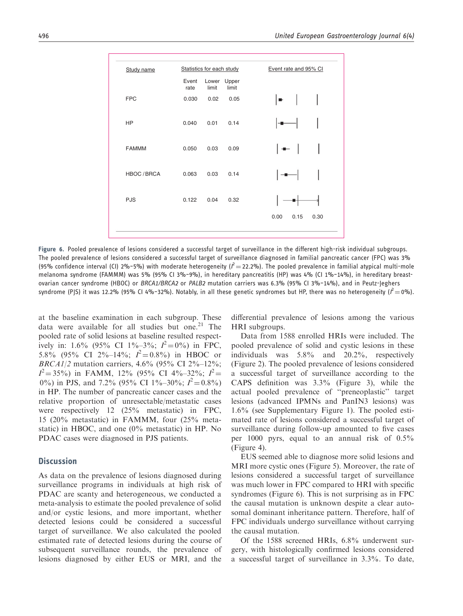| Study name   |               | Statistics for each study |                      | Event rate and 95% CI |
|--------------|---------------|---------------------------|----------------------|-----------------------|
|              | Event<br>rate | limit                     | Lower Upper<br>limit |                       |
| <b>FPC</b>   | 0.030         | 0.02                      | 0.05                 | l m                   |
| <b>HP</b>    | 0.040         | 0.01                      | 0.14                 |                       |
| <b>FAMMM</b> | 0.050         | 0.03                      | 0.09                 | ▏▄                    |
| HBOC/BRCA    | 0.063         | 0.03                      | 0.14                 |                       |
| <b>PJS</b>   | 0.122         | 0.04                      | 0.32                 |                       |
|              |               |                           |                      | 0.00<br>0.15<br>0.30  |

Figure 6. Pooled prevalence of lesions considered a successful target of surveillance in the different high-risk individual subgroups. The pooled prevalence of lesions considered a successful target of surveillance diagnosed in familial pancreatic cancer (FPC) was 3% (95% confidence interval (CI) 2%-5%) with moderate heterogeneity ( $l^2$  = 22.2%). The pooled prevalence in familial atypical multi-mole melanoma syndrome (FAMMM) was 5% (95% CI 3%–9%), in hereditary pancreatitis (HP) was 4% (CI 1%–14%), in hereditary breastovarian cancer syndrome (HBOC) or BRCA1/BRCA2 or PALB2 mutation carriers was 6.3% (95% CI 3%–14%), and in Peutz-Jeghers syndrome (PJS) it was 12.2% (95% CI 4%-32%). Notably, in all these genetic syndromes but HP, there was no heterogeneity ( $\hat l=$  0%).

at the baseline examination in each subgroup. These data were available for all studies but one. $21$  The pooled rate of solid lesions at baseline resulted respectively in: 1.6% (95% CI 1%-3%;  $I^2 = 0$ %) in FPC, 5.8% (95% CI 2%–14%;  $I^2 = 0.8\%$ ) in HBOC or *BRCA1*/2 mutation carriers,  $4.6\%$  (95% CI 2%–12%;  $I^2 = 35\%$ ) in FAMM, 12% (95% CI 4%-32%;  $I^2 =$ 0%) in PJS, and 7.2% (95% CI 1%–30%;  $I^2 = 0.8\%$ ) in HP. The number of pancreatic cancer cases and the relative proportion of unresectable/metastatic cases were respectively 12 (25% metastatic) in FPC, 15 (20% metastatic) in FAMMM, four (25% metastatic) in HBOC, and one (0% metastatic) in HP. No PDAC cases were diagnosed in PJS patients.

# **Discussion**

As data on the prevalence of lesions diagnosed during surveillance programs in individuals at high risk of PDAC are scanty and heterogeneous, we conducted a meta-analysis to estimate the pooled prevalence of solid and/or cystic lesions, and more important, whether detected lesions could be considered a successful target of surveillance. We also calculated the pooled estimated rate of detected lesions during the course of subsequent surveillance rounds, the prevalence of lesions diagnosed by either EUS or MRI, and the differential prevalence of lesions among the various HRI subgroups.

Data from 1588 enrolled HRIs were included. The pooled prevalence of solid and cystic lesions in these individuals was 5.8% and 20.2%, respectively (Figure 2). The pooled prevalence of lesions considered a successful target of surveillance according to the CAPS definition was 3.3% (Figure 3), while the actual pooled prevalence of ''preneoplastic'' target lesions (advanced IPMNs and PanIN3 lesions) was 1.6% (see Supplementary Figure 1). The pooled estimated rate of lesions considered a successful target of surveillance during follow-up amounted to five cases per 1000 pyrs, equal to an annual risk of 0.5% (Figure 4).

EUS seemed able to diagnose more solid lesions and MRI more cystic ones (Figure 5). Moreover, the rate of lesions considered a successful target of surveillance was much lower in FPC compared to HRI with specific syndromes (Figure 6). This is not surprising as in FPC the causal mutation is unknown despite a clear autosomal dominant inheritance pattern. Therefore, half of FPC individuals undergo surveillance without carrying the causal mutation.

Of the 1588 screened HRIs, 6.8% underwent surgery, with histologically confirmed lesions considered a successful target of surveillance in 3.3%. To date,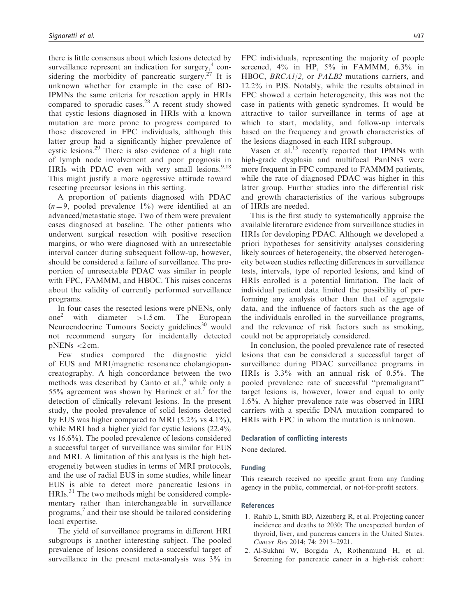there is little consensus about which lesions detected by surveillance represent an indication for surgery, $4$  considering the morbidity of pancreatic surgery.<sup>27</sup> It is unknown whether for example in the case of BD-IPMNs the same criteria for resection apply in HRIs compared to sporadic cases.<sup>28</sup> A recent study showed that cystic lesions diagnosed in HRIs with a known mutation are more prone to progress compared to those discovered in FPC individuals, although this latter group had a significantly higher prevalence of cystic lesions.<sup>29</sup> There is also evidence of a high rate of lymph node involvement and poor prognosis in HRIs with PDAC even with very small lesions. $9,18$ This might justify a more aggressive attitude toward resecting precursor lesions in this setting.

A proportion of patients diagnosed with PDAC  $(n = 9, \text{ pooled prevalence } 1\%)$  were identified at an advanced/metastatic stage. Two of them were prevalent cases diagnosed at baseline. The other patients who underwent surgical resection with positive resection margins, or who were diagnosed with an unresectable interval cancer during subsequent follow-up, however, should be considered a failure of surveillance. The proportion of unresectable PDAC was similar in people with FPC, FAMMM, and HBOC. This raises concerns about the validity of currently performed surveillance programs.

In four cases the resected lesions were pNENs, only one<sup>2</sup> with diameter >1.5 cm. The European Neuroendocrine Tumours Society guidelines<sup>30</sup> would not recommend surgery for incidentally detected  $pNENs < 2$  cm.

Few studies compared the diagnostic yield of EUS and MRI/magnetic resonance cholangiopancreatography. A high concordance between the two methods was described by Canto et al., $<sup>6</sup>$  while only a</sup> 55% agreement was shown by Harinck et al.<sup>7</sup> for the detection of clinically relevant lesions. In the present study, the pooled prevalence of solid lesions detected by EUS was higher compared to MRI (5.2% vs 4.1%), while MRI had a higher yield for cystic lesions  $(22.4\%)$ vs 16.6%). The pooled prevalence of lesions considered a successful target of surveillance was similar for EUS and MRI. A limitation of this analysis is the high heterogeneity between studies in terms of MRI protocols, and the use of radial EUS in some studies, while linear EUS is able to detect more pancreatic lesions in HRIs.<sup>31</sup> The two methods might be considered complementary rather than interchangeable in surveillance programs,<sup>7</sup> and their use should be tailored considering local expertise.

The yield of surveillance programs in different HRI subgroups is another interesting subject. The pooled prevalence of lesions considered a successful target of surveillance in the present meta-analysis was 3% in

FPC individuals, representing the majority of people screened,  $4\%$  in HP,  $5\%$  in FAMMM,  $6.3\%$  in HBOC, *BRCA1*/2, or *PALB2* mutations carriers, and 12.2% in PJS. Notably, while the results obtained in FPC showed a certain heterogeneity, this was not the case in patients with genetic syndromes. It would be attractive to tailor surveillance in terms of age at which to start, modality, and follow-up intervals based on the frequency and growth characteristics of the lesions diagnosed in each HRI subgroup.

Vasen et al.<sup>15</sup> recently reported that IPMNs with high-grade dysplasia and multifocal PanINs3 were more frequent in FPC compared to FAMMM patients, while the rate of diagnosed PDAC was higher in this latter group. Further studies into the differential risk and growth characteristics of the various subgroups of HRIs are needed.

This is the first study to systematically appraise the available literature evidence from surveillance studies in HRIs for developing PDAC. Although we developed a priori hypotheses for sensitivity analyses considering likely sources of heterogeneity, the observed heterogeneity between studies reflecting differences in surveillance tests, intervals, type of reported lesions, and kind of HRIs enrolled is a potential limitation. The lack of individual patient data limited the possibility of performing any analysis other than that of aggregate data, and the influence of factors such as the age of the individuals enrolled in the surveillance programs, and the relevance of risk factors such as smoking, could not be appropriately considered.

In conclusion, the pooled prevalence rate of resected lesions that can be considered a successful target of surveillance during PDAC surveillance programs in HRIs is 3.3% with an annual risk of 0.5%. The pooled prevalence rate of successful ''premalignant'' target lesions is, however, lower and equal to only 1.6%. A higher prevalence rate was observed in HRI carriers with a specific DNA mutation compared to HRIs with FPC in whom the mutation is unknown.

#### Declaration of conflicting interests

None declared.

#### Funding

This research received no specific grant from any funding agency in the public, commercial, or not-for-profit sectors.

#### References

- 1. Rahib L, Smith BD, Aizenberg R, et al. Projecting cancer incidence and deaths to 2030: The unexpected burden of thyroid, liver, and pancreas cancers in the United States. Cancer Res 2014; 74: 2913–2921.
- 2. Al-Sukhni W, Borgida A, Rothenmund H, et al. Screening for pancreatic cancer in a high-risk cohort: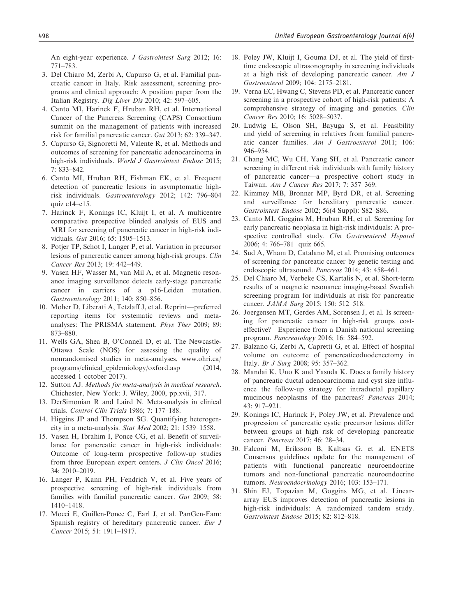An eight-year experience. J Gastrointest Surg 2012; 16: 771–783.

- 3. Del Chiaro M, Zerbi A, Capurso G, et al. Familial pancreatic cancer in Italy. Risk assessment, screening programs and clinical approach: A position paper from the Italian Registry. Dig Liver Dis 2010; 42: 597–605.
- 4. Canto MI, Harinck F, Hruban RH, et al. International Cancer of the Pancreas Screening (CAPS) Consortium summit on the management of patients with increased risk for familial pancreatic cancer. Gut 2013; 62: 339–347.
- 5. Capurso G, Signoretti M, Valente R, et al. Methods and outcomes of screening for pancreatic adenocarcinoma in high-risk individuals. World J Gastrointest Endosc 2015; 7: 833–842.
- 6. Canto MI, Hruban RH, Fishman EK, et al. Frequent detection of pancreatic lesions in asymptomatic highrisk individuals. Gastroenterology 2012; 142: 796–804 quiz e14–e15.
- 7. Harinck F, Konings IC, Kluijt I, et al. A multicentre comparative prospective blinded analysis of EUS and MRI for screening of pancreatic cancer in high-risk individuals. Gut 2016; 65: 1505–1513.
- 8. Potjer TP, Schot I, Langer P, et al. Variation in precursor lesions of pancreatic cancer among high-risk groups. Clin Cancer Res 2013; 19: 442–449.
- 9. Vasen HF, Wasser M, van Mil A, et al. Magnetic resonance imaging surveillance detects early-stage pancreatic cancer in carriers of a p16-Leiden mutation. Gastroenterology 2011; 140: 850–856.
- 10. Moher D, Liberati A, Tetzlaff J, et al. Reprint—preferred reporting items for systematic reviews and metaanalyses: The PRISMA statement. Phys Ther 2009; 89: 873–880.
- 11. Wells GA, Shea B, O'Connell D, et al. The Newcastle-Ottawa Scale (NOS) for assessing the quality of nonrandomised studies in meta-analyses, [www.ohri.ca/](www.ohri.ca/programs/clinical_epidemiology/oxford.asp) [programs/clinical\\_epidemiology/oxford.asp](www.ohri.ca/programs/clinical_epidemiology/oxford.asp) (2014, accessed 1 october 2017).
- 12. Sutton AJ. Methods for meta-analysis in medical research. Chichester, New York: J. Wiley, 2000, pp.xvii, 317.
- 13. DerSimonian R and Laird N. Meta-analysis in clinical trials. Control Clin Trials 1986; 7: 177–188.
- 14. Higgins JP and Thompson SG. Quantifying heterogeneity in a meta-analysis. Stat Med 2002; 21: 1539–1558.
- 15. Vasen H, Ibrahim I, Ponce CG, et al. Benefit of surveillance for pancreatic cancer in high-risk individuals: Outcome of long-term prospective follow-up studies from three European expert centers. J Clin Oncol 2016; 34: 2010–2019.
- 16. Langer P, Kann PH, Fendrich V, et al. Five years of prospective screening of high-risk individuals from families with familial pancreatic cancer. Gut 2009; 58: 1410–1418.
- 17. Mocci E, Guillen-Ponce C, Earl J, et al. PanGen-Fam: Spanish registry of hereditary pancreatic cancer. Eur J Cancer 2015; 51: 1911–1917.
- 18. Poley JW, Kluijt I, Gouma DJ, et al. The yield of firsttime endoscopic ultrasonography in screening individuals at a high risk of developing pancreatic cancer. Am J Gastroenterol 2009; 104: 2175–2181.
- 19. Verna EC, Hwang C, Stevens PD, et al. Pancreatic cancer screening in a prospective cohort of high-risk patients: A comprehensive strategy of imaging and genetics. Clin Cancer Res 2010; 16: 5028–5037.
- 20. Ludwig E, Olson SH, Bayuga S, et al. Feasibility and yield of screening in relatives from familial pancreatic cancer families. Am J Gastroenterol 2011; 106: 946–954.
- 21. Chang MC, Wu CH, Yang SH, et al. Pancreatic cancer screening in different risk individuals with family history of pancreatic cancer—a prospective cohort study in Taiwan. Am J Cancer Res 2017; 7: 357–369.
- 22. Kimmey MB, Bronner MP, Byrd DR, et al. Screening and surveillance for hereditary pancreatic cancer. Gastrointest Endosc 2002; 56(4 Suppl): S82–S86.
- 23. Canto MI, Goggins M, Hruban RH, et al. Screening for early pancreatic neoplasia in high-risk individuals: A prospective controlled study. Clin Gastroenterol Hepatol 2006; 4: 766–781 quiz 665.
- 24. Sud A, Wham D, Catalano M, et al. Promising outcomes of screening for pancreatic cancer by genetic testing and endoscopic ultrasound. Pancreas 2014; 43: 458–461.
- 25. Del Chiaro M, Verbeke CS, Kartalis N, et al. Short-term results of a magnetic resonance imaging-based Swedish screening program for individuals at risk for pancreatic cancer. JAMA Surg 2015; 150: 512–518.
- 26. Joergensen MT, Gerdes AM, Sorensen J, et al. Is screening for pancreatic cancer in high-risk groups costeffective?—Experience from a Danish national screening program. Pancreatology 2016; 16: 584–592.
- 27. Balzano G, Zerbi A, Capretti G, et al. Effect of hospital volume on outcome of pancreaticoduodenectomy in Italy. Br J Surg 2008; 95: 357–362.
- 28. Mandai K, Uno K and Yasuda K. Does a family history of pancreatic ductal adenocarcinoma and cyst size influence the follow-up strategy for intraductal papillary mucinous neoplasms of the pancreas? Pancreas 2014; 43: 917–921.
- 29. Konings IC, Harinck F, Poley JW, et al. Prevalence and progression of pancreatic cystic precursor lesions differ between groups at high risk of developing pancreatic cancer. Pancreas 2017; 46: 28–34.
- 30. Falconi M, Eriksson B, Kaltsas G, et al. ENETS Consensus guidelines update for the management of patients with functional pancreatic neuroendocrine tumors and non-functional pancreatic neuroendocrine tumors. Neuroendocrinology 2016; 103: 153–171.
- 31. Shin EJ, Topazian M, Goggins MG, et al. Lineararray EUS improves detection of pancreatic lesions in high-risk individuals: A randomized tandem study. Gastrointest Endosc 2015; 82: 812–818.